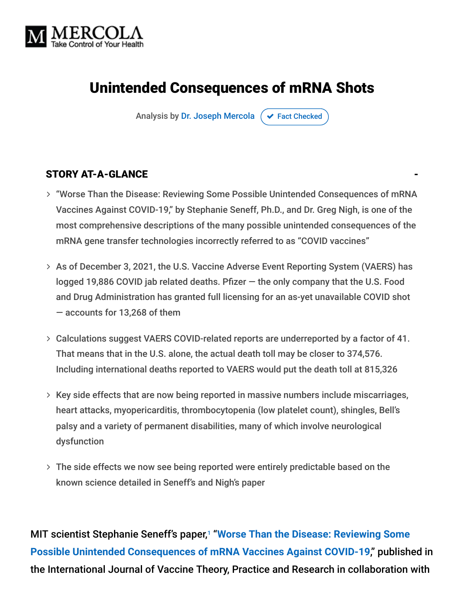

# Unintended Consequences of mRNA Shots

Analysis by [Dr. Joseph Mercola](https://www.mercola.com/forms/background.htm)  $\sigma$  [Fact Checked](javascript:void(0))

#### STORY AT-A-GLANCE

- "Worse Than the Disease: Reviewing Some Possible Unintended Consequences of mRNA Vaccines Against COVID-19," by Stephanie Seneff, Ph.D., and Dr. Greg Nigh, is one of the most comprehensive descriptions of the many possible unintended consequences of the mRNA gene transfer technologies incorrectly referred to as "COVID vaccines"
- As of December 3, 2021, the U.S. Vaccine Adverse Event Reporting System (VAERS) has logged 19,886 COVID jab related deaths. Pfizer — the only company that the U.S. Food and Drug Administration has granted full licensing for an as-yet unavailable COVID shot — accounts for 13,268 of them
- Calculations suggest VAERS COVID-related reports are underreported by a factor of 41. That means that in the U.S. alone, the actual death toll may be closer to 374,576. Including international deaths reported to VAERS would put the death toll at 815,326
- $>$  Key side effects that are now being reported in massive numbers include miscarriages, heart attacks, myopericarditis, thrombocytopenia (low platelet count), shingles, Bell's palsy and a variety of permanent disabilities, many of which involve neurological dysfunction
- The side effects we now see being reported were entirely predictable based on the known science detailed in Seneff's and Nigh's paper

MIT scientist Stephanie Seneff's paper, "**Worse Than the Disease: Reviewing Some** 1**[Possible Unintended Consequences of mRNA Vaccines Against COVID-19](https://ijvtpr.com/index.php/IJVTPR/article/view/23/34)**," published in the International Journal of Vaccine Theory, Practice and Research in collaboration with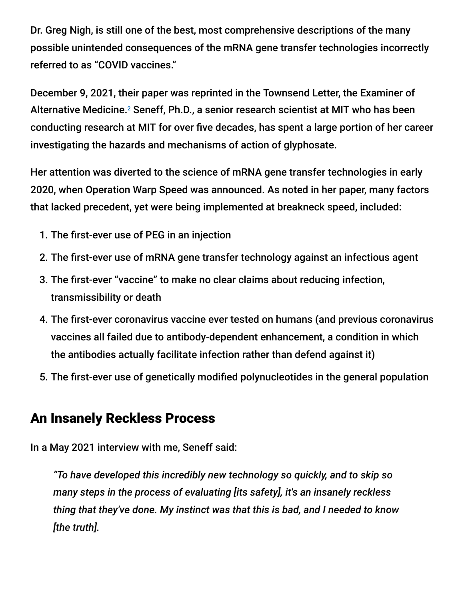Dr. Greg Nigh, is still one of the best, most comprehensive descriptions of the many possible unintended consequences of the mRNA gene transfer technologies incorrectly referred to as "COVID vaccines."

December 9, 2021, their paper was reprinted in the Townsend Letter, the Examiner of Alternative Medicine.<sup>2</sup> Seneff, Ph.D., a senior research scientist at MIT who has been conducting research at MIT for over five decades, has spent a large portion of her career investigating the hazards and mechanisms of action of glyphosate.

Her attention was diverted to the science of mRNA gene transfer technologies in early 2020, when Operation Warp Speed was announced. As noted in her paper, many factors that lacked precedent, yet were being implemented at breakneck speed, included:

- 1. The first-ever use of PEG in an injection
- 2. The first-ever use of mRNA gene transfer technology against an infectious agent
- 3. The first-ever "vaccine" to make no clear claims about reducing infection, transmissibility or death
- 4. The first-ever coronavirus vaccine ever tested on humans (and previous coronavirus vaccines all failed due to antibody-dependent enhancement, a condition in which the antibodies actually facilitate infection rather than defend against it)
- 5. The first-ever use of genetically modified polynucleotides in the general population

## An Insanely Reckless Process

In a May 2021 interview with me, Seneff said:

*"To have developed this incredibly new technology so quickly, and to skip so many steps in the process of evaluating [its safety], it's an insanely reckless thing that they've done. My instinct was that this is bad, and I needed to know [the truth].*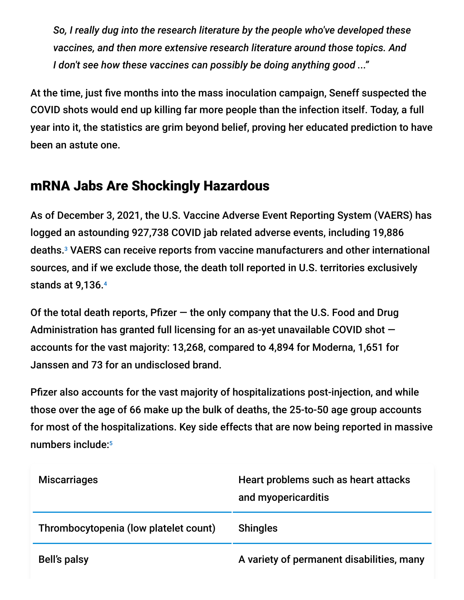*So, I really dug into the research literature by the people who've developed these vaccines, and then more extensive research literature around those topics. And I don't see how these vaccines can possibly be doing anything good ..."*

At the time, just five months into the mass inoculation campaign, Seneff suspected the COVID shots would end up killing far more people than the infection itself. Today, a full year into it, the statistics are grim beyond belief, proving her educated prediction to have been an astute one.

## mRNA Jabs Are Shockingly Hazardous

As of December 3, 2021, the U.S. Vaccine Adverse Event Reporting System (VAERS) has logged an astounding 927,738 COVID jab related adverse events, including 19,886 deaths.<sup>3</sup> VAERS can receive reports from vaccine manufacturers and other international sources, and if we exclude those, the death toll reported in U.S. territories exclusively stands at 9,136. 4

Of the total death reports, Pfizer  $-$  the only company that the U.S. Food and Drug Administration has granted full licensing for an as-yet unavailable COVID shot accounts for the vast majority: 13,268, compared to 4,894 for Moderna, 1,651 for Janssen and 73 for an undisclosed brand.

Pfizer also accounts for the vast majority of hospitalizations post-injection, and while those over the age of 66 make up the bulk of deaths, the 25-to-50 age group accounts for most of the hospitalizations. Key side effects that are now being reported in massive numbers include: 5

| <b>Miscarriages</b>                   | Heart problems such as heart attacks<br>and myopericarditis |
|---------------------------------------|-------------------------------------------------------------|
| Thrombocytopenia (low platelet count) | <b>Shingles</b>                                             |
| Bell's palsy                          | A variety of permanent disabilities, many                   |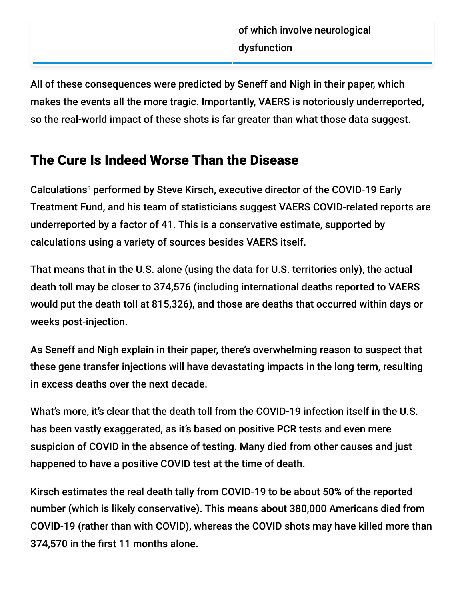All of these consequences were predicted by Seneff and Nigh in their paper, which makes the events all the more tragic. Importantly, VAERS is notoriously underreported, so the real-world impact of these shots is far greater than what those data suggest.

# The Cure Is Indeed Worse Than the Disease

Calculations<sup>6</sup> performed by Steve Kirsch, executive director of the COVID-19 Early Treatment Fund, and his team of statisticians suggest VAERS COVID-related reports are underreported by a factor of 41. This is a conservative estimate, supported by calculations using a variety of sources besides VAERS itself.

That means that in the U.S. alone (using the data for U.S. territories only), the actual death toll may be closer to 374,576 (including international deaths reported to VAERS would put the death toll at 815,326), and those are deaths that occurred within days or weeks post-injection.

As Seneff and Nigh explain in their paper, there's overwhelming reason to suspect that these gene transfer injections will have devastating impacts in the long term, resulting in excess deaths over the next decade.

What's more, it's clear that the death toll from the COVID-19 infection itself in the U.S. has been vastly exaggerated, as it's based on positive PCR tests and even mere suspicion of COVID in the absence of testing. Many died from other causes and just happened to have a positive COVID test at the time of death.

Kirsch estimates the real death tally from COVID-19 to be about 50% of the reported number (which is likely conservative). This means about 380,000 Americans died from COVID-19 (rather than with COVID), whereas the COVID shots may have killed more than 374,570 in the first 11 months alone.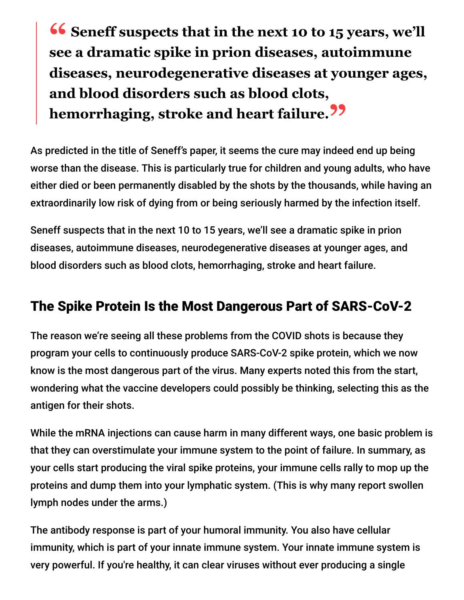**<sup>66</sup>** Seneff suspects that in the next 10 to 15 years, we'll see a dramatic spike in prion diseases autoimmune **see a dramatic spike in prion diseases, autoimmune diseases, neurodegenerative diseases at younger ages, and blood disorders such as blood clots, hemorrhaging, stroke and heart failure."**

As predicted in the title of Seneff's paper, it seems the cure may indeed end up being worse than the disease. This is particularly true for children and young adults, who have either died or been permanently disabled by the shots by the thousands, while having an extraordinarily low risk of dying from or being seriously harmed by the infection itself.

Seneff suspects that in the next 10 to 15 years, we'll see a dramatic spike in prion diseases, autoimmune diseases, neurodegenerative diseases at younger ages, and blood disorders such as blood clots, hemorrhaging, stroke and heart failure.

## The Spike Protein Is the Most Dangerous Part of SARS-CoV-2

The reason we're seeing all these problems from the COVID shots is because they program your cells to continuously produce SARS-CoV-2 spike protein, which we now know is the most dangerous part of the virus. Many experts noted this from the start, wondering what the vaccine developers could possibly be thinking, selecting this as the antigen for their shots.

While the mRNA injections can cause harm in many different ways, one basic problem is that they can overstimulate your immune system to the point of failure. In summary, as your cells start producing the viral spike proteins, your immune cells rally to mop up the proteins and dump them into your lymphatic system. (This is why many report swollen lymph nodes under the arms.)

The antibody response is part of your humoral immunity. You also have cellular immunity, which is part of your innate immune system. Your innate immune system is very powerful. If you're healthy, it can clear viruses without ever producing a single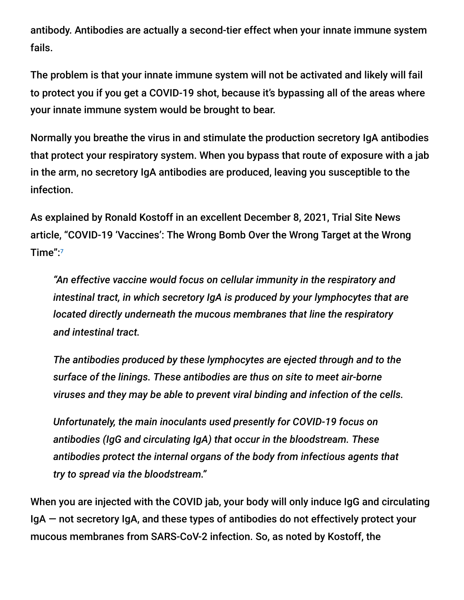antibody. Antibodies are actually a second-tier effect when your innate immune system fails.

The problem is that your innate immune system will not be activated and likely will fail to protect you if you get a COVID-19 shot, because it's bypassing all of the areas where your innate immune system would be brought to bear.

Normally you breathe the virus in and stimulate the production secretory IgA antibodies that protect your respiratory system. When you bypass that route of exposure with a jab in the arm, no secretory IgA antibodies are produced, leaving you susceptible to the infection.

As explained by Ronald Kostoff in an excellent December 8, 2021, Trial Site News article, "COVID-19 'Vaccines': The Wrong Bomb Over the Wrong Target at the Wrong Time": 7

*"An effective vaccine would focus on cellular immunity in the respiratory and intestinal tract, in which secretory IgA is produced by your lymphocytes that are located directly underneath the mucous membranes that line the respiratory and intestinal tract.*

*The antibodies produced by these lymphocytes are ejected through and to the surface of the linings. These antibodies are thus on site to meet air-borne viruses and they may be able to prevent viral binding and infection of the cells.*

*Unfortunately, the main inoculants used presently for COVID-19 focus on antibodies (IgG and circulating IgA) that occur in the bloodstream. These antibodies protect the internal organs of the body from infectious agents that try to spread via the bloodstream."*

When you are injected with the COVID jab, your body will only induce IgG and circulating IgA — not secretory IgA, and these types of antibodies do not effectively protect your mucous membranes from SARS-CoV-2 infection. So, as noted by Kostoff, the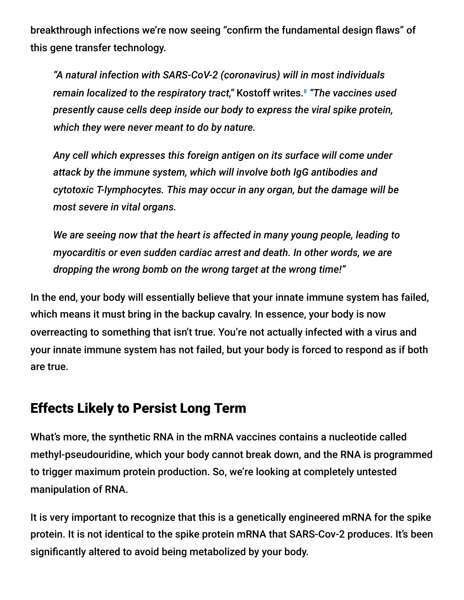breakthrough infections we're now seeing "confirm the fundamental design flaws" of this gene transfer technology.

*"A natural infection with SARS-CoV-2 (coronavirus) will in most individuals remain localized to the respiratory tract,"* Kostoff writes. *"The vaccines used* 8*presently cause cells deep inside our body to express the viral spike protein, which they were never meant to do by nature.*

*Any cell which expresses this foreign antigen on its surface will come under attack by the immune system, which will involve both IgG antibodies and cytotoxic T-lymphocytes. This may occur in any organ, but the damage will be most severe in vital organs.*

*We are seeing now that the heart is affected in many young people, leading to myocarditis or even sudden cardiac arrest and death. In other words, we are dropping the wrong bomb on the wrong target at the wrong time!"*

In the end, your body will essentially believe that your innate immune system has failed, which means it must bring in the backup cavalry. In essence, your body is now overreacting to something that isn't true. You're not actually infected with a virus and your innate immune system has not failed, but your body is forced to respond as if both are true.

## Effects Likely to Persist Long Term

What's more, the synthetic RNA in the mRNA vaccines contains a nucleotide called methyl-pseudouridine, which your body cannot break down, and the RNA is programmed to trigger maximum protein production. So, we're looking at completely untested manipulation of RNA.

It is very important to recognize that this is a genetically engineered mRNA for the spike protein. It is not identical to the spike protein mRNA that SARS-Cov-2 produces. It's been significantly altered to avoid being metabolized by your body.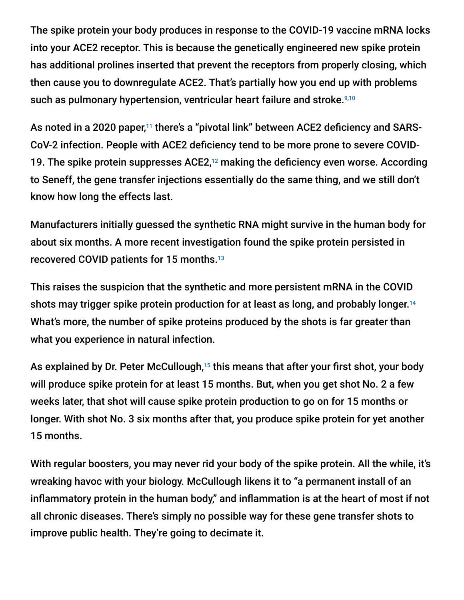The spike protein your body produces in response to the COVID-19 vaccine mRNA locks into your ACE2 receptor. This is because the genetically engineered new spike protein has additional prolines inserted that prevent the receptors from properly closing, which then cause you to downregulate ACE2. That's partially how you end up with problems such as pulmonary hypertension, ventricular heart failure and stroke. 9,10

As noted in a 2020 paper,<sup>11</sup> there's a "pivotal link" between ACE2 deficiency and SARS-CoV-2 infection. People with ACE2 deficiency tend to be more prone to severe COVID-19. The spike protein suppresses ACE2,<sup>12</sup> making the deficiency even worse. According to Seneff, the gene transfer injections essentially do the same thing, and we still don't know how long the effects last.

Manufacturers initially guessed the synthetic RNA might survive in the human body for about six months. A more recent investigation found the spike protein persisted in recovered COVID patients for 15 months. 13

This raises the suspicion that the synthetic and more persistent mRNA in the COVID shots may trigger spike protein production for at least as long, and probably longer. 14 What's more, the number of spike proteins produced by the shots is far greater than what you experience in natural infection.

As explained by Dr. Peter McCullough,<sup>15</sup> this means that after your first shot, your body will produce spike protein for at least 15 months. But, when you get shot No. 2 a few weeks later, that shot will cause spike protein production to go on for 15 months or longer. With shot No. 3 six months after that, you produce spike protein for yet another 15 months.

With regular boosters, you may never rid your body of the spike protein. All the while, it's wreaking havoc with your biology. McCullough likens it to "a permanent install of an inflammatory protein in the human body," and inflammation is at the heart of most if not all chronic diseases. There's simply no possible way for these gene transfer shots to improve public health. They're going to decimate it.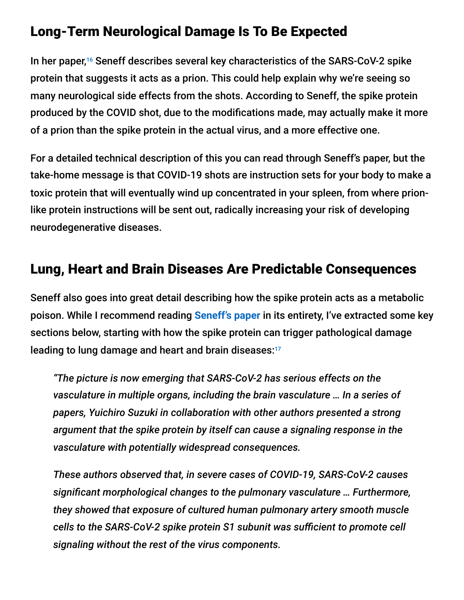#### Long-Term Neurological Damage Is To Be Expected

In her paper,<sup>16</sup> Seneff describes several key characteristics of the SARS-CoV-2 spike protein that suggests it acts as a prion. This could help explain why we're seeing so many neurological side effects from the shots. According to Seneff, the spike protein produced by the COVID shot, due to the modifications made, may actually make it more of a prion than the spike protein in the actual virus, and a more effective one.

For a detailed technical description of this you can read through Seneff's paper, but the take-home message is that COVID-19 shots are instruction sets for your body to make a toxic protein that will eventually wind up concentrated in your spleen, from where prionlike protein instructions will be sent out, radically increasing your risk of developing neurodegenerative diseases.

#### Lung, Heart and Brain Diseases Are Predictable Consequences

Seneff also goes into great detail describing how the spike protein acts as a metabolic poison. While I recommend reading **[Seneff's paper](https://ijvtpr.com/index.php/IJVTPR/article/view/23/34)** in its entirety, I've extracted some key sections below, starting with how the spike protein can trigger pathological damage leading to lung damage and heart and brain diseases: 17

*"The picture is now emerging that SARS-CoV-2 has serious effects on the vasculature in multiple organs, including the brain vasculature … In a series of papers, Yuichiro Suzuki in collaboration with other authors presented a strong argument that the spike protein by itself can cause a signaling response in the vasculature with potentially widespread consequences.*

*These authors observed that, in severe cases of COVID-19, SARS-CoV-2 causes significant morphological changes to the pulmonary vasculature … Furthermore, they showed that exposure of cultured human pulmonary artery smooth muscle cells to the SARS-CoV-2 spike protein S1 subunit was sufficient to promote cell signaling without the rest of the virus components.*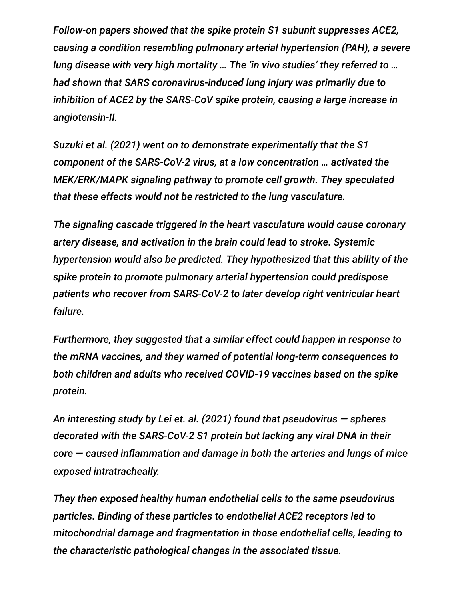*Follow-on papers showed that the spike protein S1 subunit suppresses ACE2, causing a condition resembling pulmonary arterial hypertension (PAH), a severe lung disease with very high mortality … The 'in vivo studies' they referred to … had shown that SARS coronavirus-induced lung injury was primarily due to inhibition of ACE2 by the SARS-CoV spike protein, causing a large increase in angiotensin-II.*

*Suzuki et al. (2021) went on to demonstrate experimentally that the S1 component of the SARS-CoV-2 virus, at a low concentration … activated the MEK/ERK/MAPK signaling pathway to promote cell growth. They speculated that these effects would not be restricted to the lung vasculature.*

*The signaling cascade triggered in the heart vasculature would cause coronary artery disease, and activation in the brain could lead to stroke. Systemic hypertension would also be predicted. They hypothesized that this ability of the spike protein to promote pulmonary arterial hypertension could predispose patients who recover from SARS-CoV-2 to later develop right ventricular heart failure.*

*Furthermore, they suggested that a similar effect could happen in response to the mRNA vaccines, and they warned of potential long-term consequences to both children and adults who received COVID-19 vaccines based on the spike protein.*

*An interesting study by Lei et. al. (2021) found that pseudovirus — spheres decorated with the SARS-CoV-2 S1 protein but lacking any viral DNA in their core — caused inflammation and damage in both the arteries and lungs of mice exposed intratracheally.*

*They then exposed healthy human endothelial cells to the same pseudovirus particles. Binding of these particles to endothelial ACE2 receptors led to mitochondrial damage and fragmentation in those endothelial cells, leading to the characteristic pathological changes in the associated tissue.*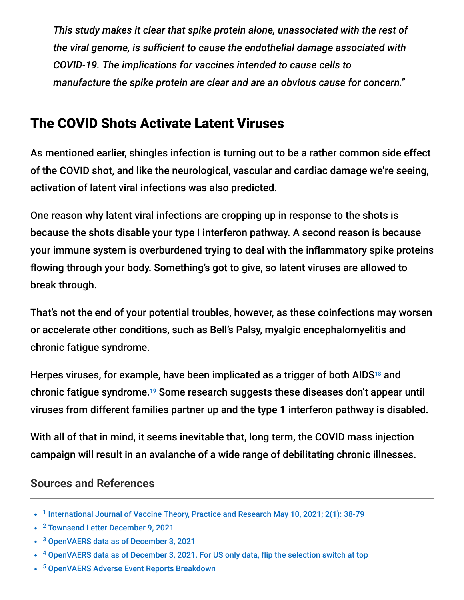*This study makes it clear that spike protein alone, unassociated with the rest of the viral genome, is sufficient to cause the endothelial damage associated with COVID-19. The implications for vaccines intended to cause cells to manufacture the spike protein are clear and are an obvious cause for concern."*

# The COVID Shots Activate Latent Viruses

As mentioned earlier, shingles infection is turning out to be a rather common side effect of the COVID shot, and like the neurological, vascular and cardiac damage we're seeing, activation of latent viral infections was also predicted.

One reason why latent viral infections are cropping up in response to the shots is because the shots disable your type I interferon pathway. A second reason is because your immune system is overburdened trying to deal with the inflammatory spike proteins flowing through your body. Something's got to give, so latent viruses are allowed to break through.

That's not the end of your potential troubles, however, as these coinfections may worsen or accelerate other conditions, such as Bell's Palsy, myalgic encephalomyelitis and chronic fatigue syndrome.

Herpes viruses, for example, have been implicated as a trigger of both AIDS $^{18}$  and chronic fatigue syndrome.<sup>19</sup> Some research suggests these diseases don't appear until viruses from different families partner up and the type 1 interferon pathway is disabled.

With all of that in mind, it seems inevitable that, long term, the COVID mass injection campaign will result in an avalanche of a wide range of debilitating chronic illnesses.

#### **Sources and References**

- <sup>1</sup> [International Journal of Vaccine Theory, Practice and Research May 10, 2021; 2\(1\): 38-79](https://ijvtpr.com/index.php/IJVTPR/article/view/23/34)
- <sup>2</sup> [Townsend Letter December 9, 2021](https://www.townsendletter.com/article/461-mrna-vaccines-and-unintendend-consequences/)
- <sup>3</sup> [OpenVAERS data as of December 3, 2021](https://openvaers.com/)
- <sup>4</sup> [OpenVAERS data as of December 3, 2021. For US only data, flip the selection switch at top](https://openvaers.com/covid-data)
- <sup>5</sup> [OpenVAERS Adverse Event Reports Breakdown](https://openvaers.com/covid-data)